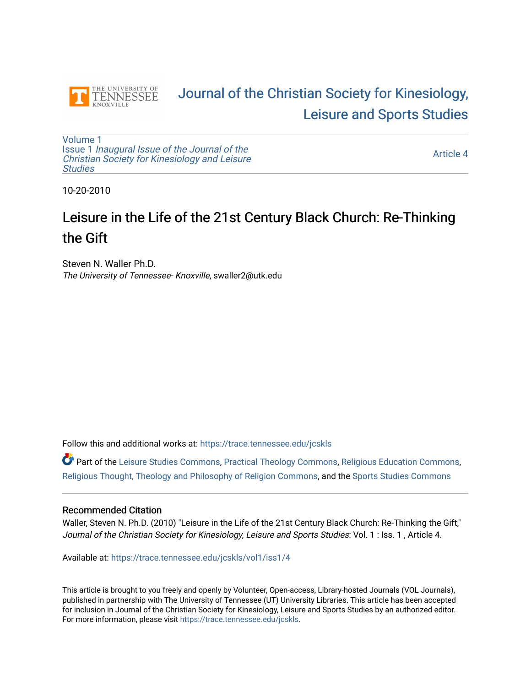

## [Journal of the Christian Society for Kinesiology,](https://trace.tennessee.edu/jcskls)  [Leisure and Sports Studies](https://trace.tennessee.edu/jcskls)

[Volume 1](https://trace.tennessee.edu/jcskls/vol1) Issue 1 [Inaugural Issue of the Journal of the](https://trace.tennessee.edu/jcskls/vol1/iss1)  [Christian Society for Kinesiology and Leisure](https://trace.tennessee.edu/jcskls/vol1/iss1) **Studies** 

[Article 4](https://trace.tennessee.edu/jcskls/vol1/iss1/4) 

10-20-2010

# Leisure in the Life of the 21st Century Black Church: Re-Thinking the Gift

Steven N. Waller Ph.D. The University of Tennessee- Knoxville, swaller2@utk.edu

Follow this and additional works at: [https://trace.tennessee.edu/jcskls](https://trace.tennessee.edu/jcskls?utm_source=trace.tennessee.edu%2Fjcskls%2Fvol1%2Fiss1%2F4&utm_medium=PDF&utm_campaign=PDFCoverPages) 

Part of the [Leisure Studies Commons,](https://network.bepress.com/hgg/discipline/1197?utm_source=trace.tennessee.edu%2Fjcskls%2Fvol1%2Fiss1%2F4&utm_medium=PDF&utm_campaign=PDFCoverPages) [Practical Theology Commons](https://network.bepress.com/hgg/discipline/1186?utm_source=trace.tennessee.edu%2Fjcskls%2Fvol1%2Fiss1%2F4&utm_medium=PDF&utm_campaign=PDFCoverPages), [Religious Education Commons,](https://network.bepress.com/hgg/discipline/1414?utm_source=trace.tennessee.edu%2Fjcskls%2Fvol1%2Fiss1%2F4&utm_medium=PDF&utm_campaign=PDFCoverPages) [Religious Thought, Theology and Philosophy of Religion Commons,](https://network.bepress.com/hgg/discipline/544?utm_source=trace.tennessee.edu%2Fjcskls%2Fvol1%2Fiss1%2F4&utm_medium=PDF&utm_campaign=PDFCoverPages) and the [Sports Studies Commons](https://network.bepress.com/hgg/discipline/1198?utm_source=trace.tennessee.edu%2Fjcskls%2Fvol1%2Fiss1%2F4&utm_medium=PDF&utm_campaign=PDFCoverPages)

#### Recommended Citation

Waller, Steven N. Ph.D. (2010) "Leisure in the Life of the 21st Century Black Church: Re-Thinking the Gift," Journal of the Christian Society for Kinesiology, Leisure and Sports Studies: Vol. 1 : Iss. 1, Article 4.

Available at: [https://trace.tennessee.edu/jcskls/vol1/iss1/4](https://trace.tennessee.edu/jcskls/vol1/iss1/4?utm_source=trace.tennessee.edu%2Fjcskls%2Fvol1%2Fiss1%2F4&utm_medium=PDF&utm_campaign=PDFCoverPages) 

This article is brought to you freely and openly by Volunteer, Open-access, Library-hosted Journals (VOL Journals), published in partnership with The University of Tennessee (UT) University Libraries. This article has been accepted for inclusion in Journal of the Christian Society for Kinesiology, Leisure and Sports Studies by an authorized editor. For more information, please visit <https://trace.tennessee.edu/jcskls>.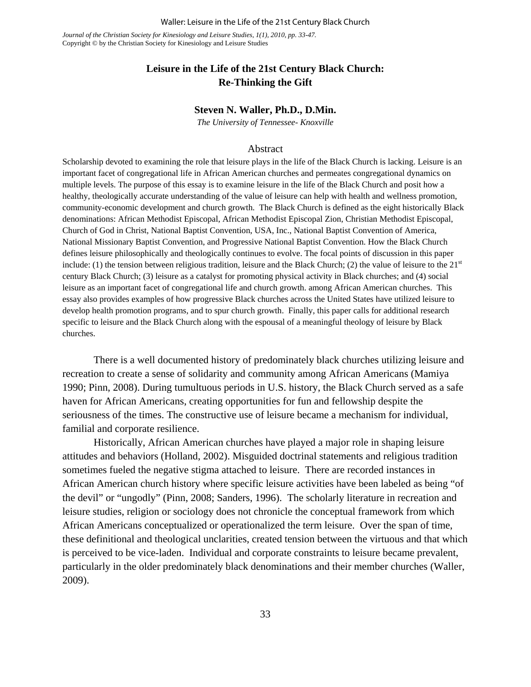Waller: Leisure in the Life of the 21st Century Black Church

*Journal of the Christian Society for Kinesiology and Leisure Studies, 1(1), 2010, pp. 33-47.*  Copyright © by the Christian Society for Kinesiology and Leisure Studies

## **Leisure in the Life of the 21st Century Black Church: Re-Thinking the Gift**

#### **Steven N. Waller, Ph.D., D.Min.**

*The University of Tennessee- Knoxville*

#### Abstract

Scholarship devoted to examining the role that leisure plays in the life of the Black Church is lacking. Leisure is an important facet of congregational life in African American churches and permeates congregational dynamics on multiple levels. The purpose of this essay is to examine leisure in the life of the Black Church and posit how a healthy, theologically accurate understanding of the value of leisure can help with health and wellness promotion, community-economic development and church growth. The Black Church is defined as the eight historically Black denominations: African Methodist Episcopal, African Methodist Episcopal Zion, Christian Methodist Episcopal, Church of God in Christ, National Baptist Convention, USA, Inc., National Baptist Convention of America, National Missionary Baptist Convention, and Progressive National Baptist Convention. How the Black Church defines leisure philosophically and theologically continues to evolve. The focal points of discussion in this paper include: (1) the tension between religious tradition, leisure and the Black Church; (2) the value of leisure to the  $21<sup>st</sup>$ century Black Church; (3) leisure as a catalyst for promoting physical activity in Black churches; and (4) social leisure as an important facet of congregational life and church growth. among African American churches. This essay also provides examples of how progressive Black churches across the United States have utilized leisure to develop health promotion programs, and to spur church growth. Finally, this paper calls for additional research specific to leisure and the Black Church along with the espousal of a meaningful theology of leisure by Black churches.

 There is a well documented history of predominately black churches utilizing leisure and recreation to create a sense of solidarity and community among African Americans (Mamiya 1990; Pinn, 2008). During tumultuous periods in U.S. history, the Black Church served as a safe haven for African Americans, creating opportunities for fun and fellowship despite the seriousness of the times. The constructive use of leisure became a mechanism for individual, familial and corporate resilience.

 Historically, African American churches have played a major role in shaping leisure attitudes and behaviors (Holland, 2002). Misguided doctrinal statements and religious tradition sometimes fueled the negative stigma attached to leisure. There are recorded instances in African American church history where specific leisure activities have been labeled as being "of the devil" or "ungodly" (Pinn, 2008; Sanders, 1996). The scholarly literature in recreation and leisure studies, religion or sociology does not chronicle the conceptual framework from which African Americans conceptualized or operationalized the term leisure. Over the span of time, these definitional and theological unclarities, created tension between the virtuous and that which is perceived to be vice-laden. Individual and corporate constraints to leisure became prevalent, particularly in the older predominately black denominations and their member churches (Waller, 2009).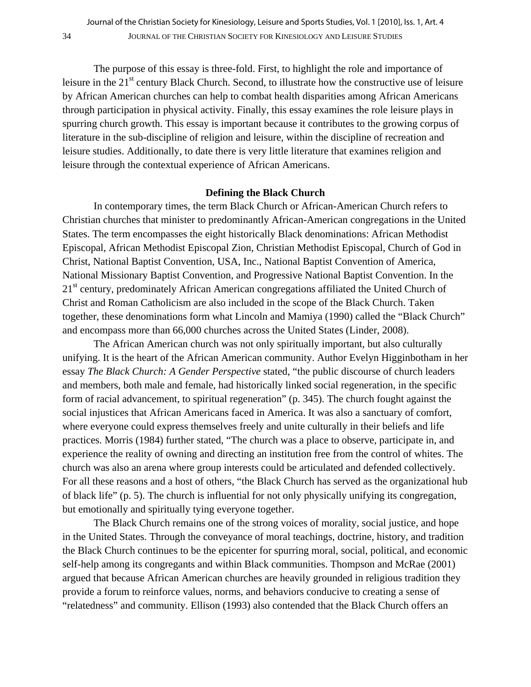The purpose of this essay is three-fold. First, to highlight the role and importance of leisure in the  $21<sup>st</sup>$  century Black Church. Second, to illustrate how the constructive use of leisure by African American churches can help to combat health disparities among African Americans through participation in physical activity. Finally, this essay examines the role leisure plays in spurring church growth. This essay is important because it contributes to the growing corpus of literature in the sub-discipline of religion and leisure, within the discipline of recreation and leisure studies. Additionally, to date there is very little literature that examines religion and leisure through the contextual experience of African Americans.

#### **Defining the Black Church**

In contemporary times, the term Black Church or African-American Church refers to Christian churches that minister to predominantly African-American congregations in the United States. The term encompasses the eight historically Black denominations: African Methodist Episcopal, African Methodist Episcopal Zion, Christian Methodist Episcopal, Church of God in Christ, National Baptist Convention, USA, Inc., National Baptist Convention of America, National Missionary Baptist Convention, and Progressive National Baptist Convention. In the 21<sup>st</sup> century, predominately African American congregations affiliated the United Church of Christ and Roman Catholicism are also included in the scope of the Black Church. Taken together, these denominations form what Lincoln and Mamiya (1990) called the "Black Church" and encompass more than 66,000 churches across the United States (Linder, 2008).

The African American church was not only spiritually important, but also culturally unifying. It is the heart of the African American community. Author Evelyn Higginbotham in her essay *The Black Church: A Gender Perspective* stated, "the public discourse of church leaders and members, both male and female, had historically linked social regeneration, in the specific form of racial advancement, to spiritual regeneration" (p. 345). The church fought against the social injustices that African Americans faced in America. It was also a sanctuary of comfort, where everyone could express themselves freely and unite culturally in their beliefs and life practices. Morris (1984) further stated, "The church was a place to observe, participate in, and experience the reality of owning and directing an institution free from the control of whites. The church was also an arena where group interests could be articulated and defended collectively. For all these reasons and a host of others, "the Black Church has served as the organizational hub of black life" (p. 5). The church is influential for not only physically unifying its congregation, but emotionally and spiritually tying everyone together.

The Black Church remains one of the strong voices of morality, social justice, and hope in the United States. Through the conveyance of moral teachings, doctrine, history, and tradition the Black Church continues to be the epicenter for spurring moral, social, political, and economic self-help among its congregants and within Black communities. Thompson and McRae (2001) argued that because African American churches are heavily grounded in religious tradition they provide a forum to reinforce values, norms, and behaviors conducive to creating a sense of "relatedness" and community. Ellison (1993) also contended that the Black Church offers an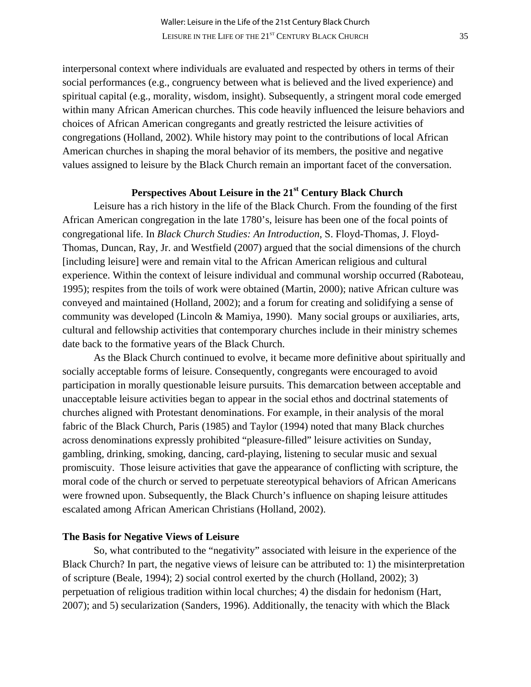interpersonal context where individuals are evaluated and respected by others in terms of their social performances (e.g., congruency between what is believed and the lived experience) and spiritual capital (e.g., morality, wisdom, insight). Subsequently, a stringent moral code emerged within many African American churches. This code heavily influenced the leisure behaviors and choices of African American congregants and greatly restricted the leisure activities of congregations (Holland, 2002). While history may point to the contributions of local African American churches in shaping the moral behavior of its members, the positive and negative values assigned to leisure by the Black Church remain an important facet of the conversation.

## Perspectives About Leisure in the 21<sup>st</sup> Century Black Church

Leisure has a rich history in the life of the Black Church. From the founding of the first African American congregation in the late 1780's, leisure has been one of the focal points of congregational life. In *Black Church Studies: An Introduction*, S. Floyd-Thomas, J. Floyd-Thomas, Duncan, Ray, Jr. and Westfield (2007) argued that the social dimensions of the church [including leisure] were and remain vital to the African American religious and cultural experience. Within the context of leisure individual and communal worship occurred (Raboteau, 1995); respites from the toils of work were obtained (Martin, 2000); native African culture was conveyed and maintained (Holland, 2002); and a forum for creating and solidifying a sense of community was developed (Lincoln & Mamiya, 1990). Many social groups or auxiliaries, arts, cultural and fellowship activities that contemporary churches include in their ministry schemes date back to the formative years of the Black Church.

As the Black Church continued to evolve, it became more definitive about spiritually and socially acceptable forms of leisure. Consequently, congregants were encouraged to avoid participation in morally questionable leisure pursuits. This demarcation between acceptable and unacceptable leisure activities began to appear in the social ethos and doctrinal statements of churches aligned with Protestant denominations. For example, in their analysis of the moral fabric of the Black Church, Paris (1985) and Taylor (1994) noted that many Black churches across denominations expressly prohibited "pleasure-filled" leisure activities on Sunday, gambling, drinking, smoking, dancing, card-playing, listening to secular music and sexual promiscuity. Those leisure activities that gave the appearance of conflicting with scripture, the moral code of the church or served to perpetuate stereotypical behaviors of African Americans were frowned upon. Subsequently, the Black Church's influence on shaping leisure attitudes escalated among African American Christians (Holland, 2002).

#### **The Basis for Negative Views of Leisure**

 So, what contributed to the "negativity" associated with leisure in the experience of the Black Church? In part, the negative views of leisure can be attributed to: 1) the misinterpretation of scripture (Beale, 1994); 2) social control exerted by the church (Holland, 2002); 3) perpetuation of religious tradition within local churches; 4) the disdain for hedonism (Hart, 2007); and 5) secularization (Sanders, 1996). Additionally, the tenacity with which the Black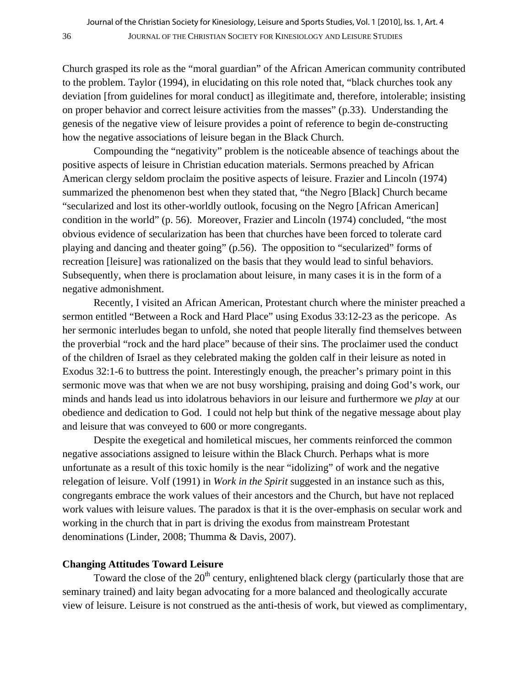Church grasped its role as the "moral guardian" of the African American community contributed to the problem. Taylor (1994), in elucidating on this role noted that, "black churches took any deviation [from guidelines for moral conduct] as illegitimate and, therefore, intolerable; insisting on proper behavior and correct leisure activities from the masses" (p.33). Understanding the genesis of the negative view of leisure provides a point of reference to begin de-constructing how the negative associations of leisure began in the Black Church.

 Compounding the "negativity" problem is the noticeable absence of teachings about the positive aspects of leisure in Christian education materials. Sermons preached by African American clergy seldom proclaim the positive aspects of leisure. Frazier and Lincoln (1974) summarized the phenomenon best when they stated that, "the Negro [Black] Church became "secularized and lost its other-worldly outlook, focusing on the Negro [African American] condition in the world" (p. 56). Moreover, Frazier and Lincoln (1974) concluded, "the most obvious evidence of secularization has been that churches have been forced to tolerate card playing and dancing and theater going" (p.56). The opposition to "secularized" forms of recreation [leisure] was rationalized on the basis that they would lead to sinful behaviors. Subsequently, when there is proclamation about leisure, in many cases it is in the form of a negative admonishment.

 Recently, I visited an African American, Protestant church where the minister preached a sermon entitled "Between a Rock and Hard Place" using Exodus 33:12-23 as the pericope. As her sermonic interludes began to unfold, she noted that people literally find themselves between the proverbial "rock and the hard place" because of their sins. The proclaimer used the conduct of the children of Israel as they celebrated making the golden calf in their leisure as noted in Exodus 32:1-6 to buttress the point. Interestingly enough, the preacher's primary point in this sermonic move was that when we are not busy worshiping, praising and doing God's work, our minds and hands lead us into idolatrous behaviors in our leisure and furthermore we *play* at our obedience and dedication to God. I could not help but think of the negative message about play and leisure that was conveyed to 600 or more congregants.

 Despite the exegetical and homiletical miscues, her comments reinforced the common negative associations assigned to leisure within the Black Church. Perhaps what is more unfortunate as a result of this toxic homily is the near "idolizing" of work and the negative relegation of leisure. Volf (1991) in *Work in the Spirit* suggested in an instance such as this, congregants embrace the work values of their ancestors and the Church, but have not replaced work values with leisure values. The paradox is that it is the over-emphasis on secular work and working in the church that in part is driving the exodus from mainstream Protestant denominations (Linder, 2008; Thumma & Davis, 2007).

### **Changing Attitudes Toward Leisure**

Toward the close of the 20<sup>th</sup> century, enlightened black clergy (particularly those that are seminary trained) and laity began advocating for a more balanced and theologically accurate view of leisure. Leisure is not construed as the anti-thesis of work, but viewed as complimentary,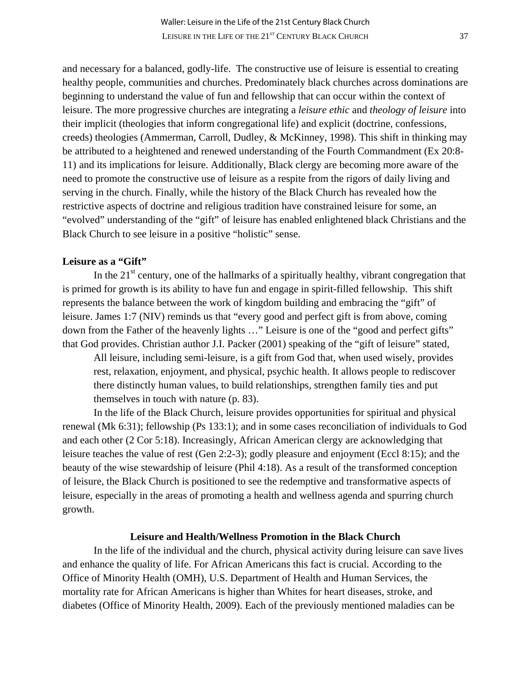and necessary for a balanced, godly-life. The constructive use of leisure is essential to creating healthy people, communities and churches. Predominately black churches across dominations are beginning to understand the value of fun and fellowship that can occur within the context of leisure. The more progressive churches are integrating a *leisure ethic* and *theology of leisure* into their implicit (theologies that inform congregational life) and explicit (doctrine, confessions, creeds) theologies (Ammerman, Carroll, Dudley, & McKinney, 1998). This shift in thinking may be attributed to a heightened and renewed understanding of the Fourth Commandment (Ex 20:8- 11) and its implications for leisure. Additionally, Black clergy are becoming more aware of the need to promote the constructive use of leisure as a respite from the rigors of daily living and serving in the church. Finally, while the history of the Black Church has revealed how the restrictive aspects of doctrine and religious tradition have constrained leisure for some, an "evolved" understanding of the "gift" of leisure has enabled enlightened black Christians and the Black Church to see leisure in a positive "holistic" sense.

## **Leisure as a "Gift"**

In the  $21<sup>st</sup>$  century, one of the hallmarks of a spiritually healthy, vibrant congregation that is primed for growth is its ability to have fun and engage in spirit-filled fellowship. This shift represents the balance between the work of kingdom building and embracing the "gift" of leisure. James 1:7 (NIV) reminds us that "every good and perfect gift is from above, coming down from the Father of the heavenly lights …" Leisure is one of the "good and perfect gifts" that God provides. Christian author J.I. Packer (2001) speaking of the "gift of leisure" stated,

All leisure, including semi-leisure, is a gift from God that, when used wisely, provides rest, relaxation, enjoyment, and physical, psychic health. It allows people to rediscover there distinctly human values, to build relationships, strengthen family ties and put themselves in touch with nature (p. 83).

 In the life of the Black Church, leisure provides opportunities for spiritual and physical renewal (Mk 6:31); fellowship (Ps 133:1); and in some cases reconciliation of individuals to God and each other (2 Cor 5:18). Increasingly, African American clergy are acknowledging that leisure teaches the value of rest (Gen 2:2-3); godly pleasure and enjoyment (Eccl 8:15); and the beauty of the wise stewardship of leisure (Phil 4:18). As a result of the transformed conception of leisure, the Black Church is positioned to see the redemptive and transformative aspects of leisure, especially in the areas of promoting a health and wellness agenda and spurring church growth.

#### **Leisure and Health/Wellness Promotion in the Black Church**

 In the life of the individual and the church, physical activity during leisure can save lives and enhance the quality of life. For African Americans this fact is crucial. According to the Office of Minority Health (OMH), U.S. Department of Health and Human Services, the mortality rate for African Americans is higher than Whites for heart diseases, stroke, and diabetes (Office of Minority Health, 2009). Each of the previously mentioned maladies can be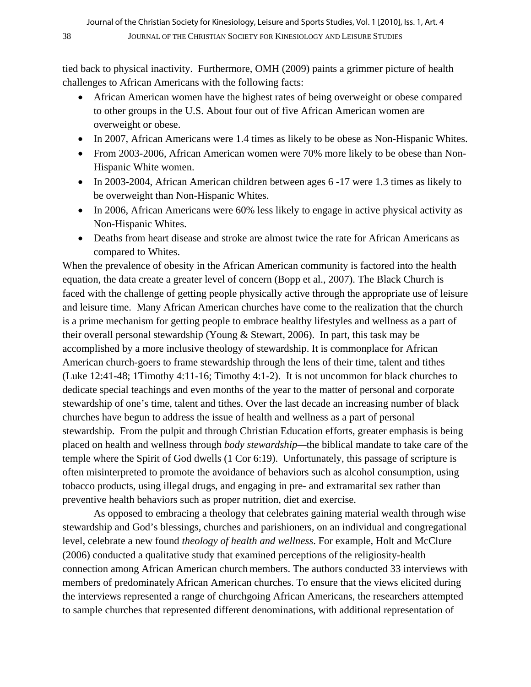tied back to physical inactivity. Furthermore, OMH (2009) paints a grimmer picture of health challenges to African Americans with the following facts:

- African American women have the highest rates of being overweight or obese compared to other groups in the U.S. About four out of five African American women are overweight or obese.
- In 2007, African Americans were 1.4 times as likely to be obese as Non-Hispanic Whites.
- From 2003-2006, African American women were 70% more likely to be obese than Non-Hispanic White women.
- In 2003-2004, African American children between ages 6 -17 were 1.3 times as likely to be overweight than Non-Hispanic Whites.
- In 2006, African Americans were 60% less likely to engage in active physical activity as Non-Hispanic Whites.
- Deaths from heart disease and stroke are almost twice the rate for African Americans as compared to Whites.

When the prevalence of obesity in the African American community is factored into the health equation, the data create a greater level of concern [\(Bopp et al.,](http://www.ncbi.nlm.nih.gov/sites/entrez?Db=pubmed&Cmd=Search&Term=%22Bopp%20M%22%5BAuthor%5D&itool=EntrezSystem2.PEntrez.Pubmed.Pubmed_ResultsPanel.Pubmed_DiscoveryPanel.Pubmed_RVAbstractPlus) 2007). The Black Church is faced with the challenge of getting people physically active through the appropriate use of leisure and leisure time. Many African American churches have come to the realization that the church is a prime mechanism for getting people to embrace healthy lifestyles and wellness as a part of their overall personal stewardship (Young & Stewart, 2006). In part, this task may be accomplished by a more inclusive theology of stewardship. It is commonplace for African American church-goers to frame stewardship through the lens of their time, talent and tithes (Luke 12:41-48; 1Timothy 4:11-16; Timothy 4:1-2). It is not uncommon for black churches to dedicate special teachings and even months of the year to the matter of personal and corporate stewardship of one's time, talent and tithes. Over the last decade an increasing number of black churches have begun to address the issue of health and wellness as a part of personal stewardship. From the pulpit and through Christian Education efforts, greater emphasis is being placed on health and wellness through *body stewardship—*the biblical mandate to take care of the temple where the Spirit of God dwells (1 Cor 6:19). Unfortunately, this passage of scripture is often misinterpreted to promote the avoidance of behaviors such as alcohol consumption, using tobacco products, using illegal drugs, and engaging in pre- and extramarital sex rather than preventive health behaviors such as proper nutrition, diet and exercise.

As opposed to embracing a theology that celebrates gaining material wealth through wise stewardship and God's blessings, churches and parishioners, on an individual and congregational level, celebrate a new found *theology of health and wellness*. For example, Holt and McClure (2006) conducted a qualitative study that examined perceptions ofthe religiosity-health connection among African American church members. The authors conducted 33 interviews with members of predominately African American churches. To ensure that the views elicited during the interviews represented a range of churchgoing African Americans, the researchers attempted to sample churches that represented different denominations, with additional representation of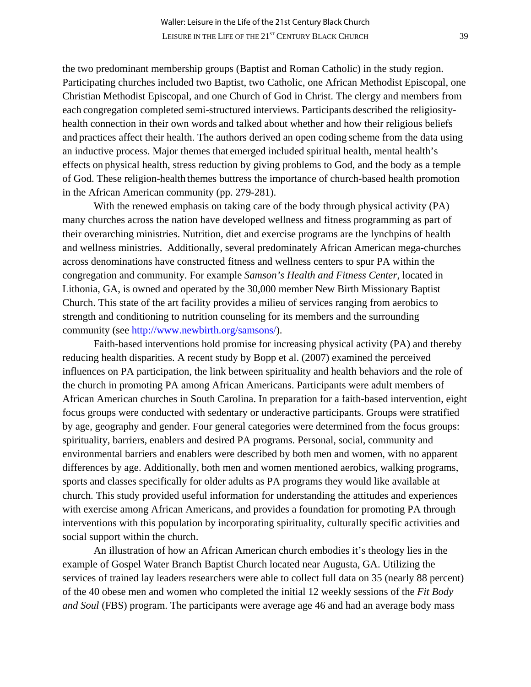the two predominant membership groups (Baptist and Roman Catholic) in the study region. Participating churches included two Baptist, two Catholic, one African Methodist Episcopal, one Christian Methodist Episcopal, and one Church of God in Christ. The clergy and members from each congregation completed semi-structured interviews. Participants described the religiosityhealth connection in their own words and talked about whether and how their religious beliefs and practices affect their health. The authors derived an open coding scheme from the data using an inductive process. Major themes that emerged included spiritual health, mental health's effects on physical health, stress reduction by giving problems to God, and the body as a temple of God. These religion-health themes buttress the importance of church-based health promotion in the African American community (pp. 279-281).

With the renewed emphasis on taking care of the body through physical activity (PA) many churches across the nation have developed wellness and fitness programming as part of their overarching ministries. Nutrition, diet and exercise programs are the lynchpins of health and wellness ministries. Additionally, several predominately African American mega-churches across denominations have constructed fitness and wellness centers to spur PA within the congregation and community. For example *Samson's Health and Fitness Center*, located in Lithonia, GA, is owned and operated by the 30,000 member New Birth Missionary Baptist Church. This state of the art facility provides a milieu of services ranging from aerobics to strength and conditioning to nutrition counseling for its members and the surrounding community (see [http://www.newbirth.org/samsons/\)](http://www.newbirth.org/samsons/).

 Faith-based interventions hold promise for increasing physical activity (PA) and thereby reducing health disparities. A recent study by [Bopp et al.](http://www.ncbi.nlm.nih.gov/sites/entrez?Db=pubmed&Cmd=Search&Term=%22Bopp%20M%22%5BAuthor%5D&itool=EntrezSystem2.PEntrez.Pubmed.Pubmed_ResultsPanel.Pubmed_DiscoveryPanel.Pubmed_RVAbstractPlus) (2007) examined the perceived influences on PA participation, the link between spirituality and health behaviors and the role of the church in promoting PA among African Americans. Participants were adult members of African American churches in South Carolina. In preparation for a faith-based intervention, eight focus groups were conducted with sedentary or underactive participants. Groups were stratified by age, geography and gender. Four general categories were determined from the focus groups: spirituality, barriers, enablers and desired PA programs. Personal, social, community and environmental barriers and enablers were described by both men and women, with no apparent differences by age. Additionally, both men and women mentioned aerobics, walking programs, sports and classes specifically for older adults as PA programs they would like available at church. This study provided useful information for understanding the attitudes and experiences with exercise among African Americans, and provides a foundation for promoting PA through interventions with this population by incorporating spirituality, culturally specific activities and social support within the church.

An illustration of how an African American church embodies it's theology lies in the example of Gospel Water Branch Baptist Church located near Augusta, GA. Utilizing the services of trained lay leaders researchers were able to collect full data on 35 (nearly 88 percent) of the 40 obese men and women who completed the initial 12 weekly sessions of the *Fit Body and Soul* (FBS) program. The participants were average age 46 and had an average body mass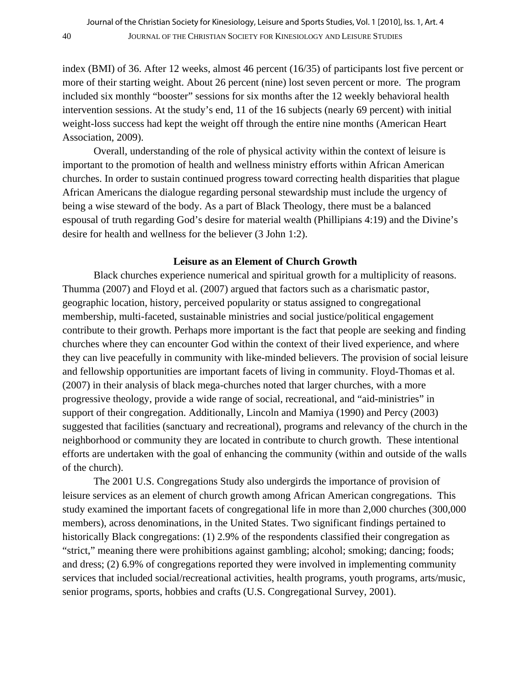index (BMI) of 36. After 12 weeks, almost 46 percent (16/35) of participants lost five percent or more of their starting weight. About 26 percent (nine) lost seven percent or more. The program included six monthly "booster" sessions for six months after the 12 weekly behavioral health intervention sessions. At the study's end, 11 of the 16 subjects (nearly 69 percent) with initial weight-loss success had kept the weight off through the entire nine months (American Heart Association, 2009).

Overall, understanding of the role of physical activity within the context of leisure is important to the promotion of health and wellness ministry efforts within African American churches. In order to sustain continued progress toward correcting health disparities that plague African Americans the dialogue regarding personal stewardship must include the urgency of being a wise steward of the body. As a part of Black Theology, there must be a balanced espousal of truth regarding God's desire for material wealth (Phillipians 4:19) and the Divine's desire for health and wellness for the believer (3 John 1:2).

#### **Leisure as an Element of Church Growth**

Black churches experience numerical and spiritual growth for a multiplicity of reasons. Thumma (2007) and Floyd et al. (2007) argued that factors such as a charismatic pastor, geographic location, history, perceived popularity or status assigned to congregational membership, multi-faceted, sustainable ministries and social justice/political engagement contribute to their growth. Perhaps more important is the fact that people are seeking and finding churches where they can encounter God within the context of their lived experience, and where they can live peacefully in community with like-minded believers. The provision of social leisure and fellowship opportunities are important facets of living in community. Floyd-Thomas et al. (2007) in their analysis of black mega-churches noted that larger churches, with a more progressive theology, provide a wide range of social, recreational, and "aid-ministries" in support of their congregation. Additionally, Lincoln and Mamiya (1990) and Percy (2003) suggested that facilities (sanctuary and recreational), programs and relevancy of the church in the neighborhood or community they are located in contribute to church growth. These intentional efforts are undertaken with the goal of enhancing the community (within and outside of the walls of the church).

The 2001 U.S. Congregations Study also undergirds the importance of provision of leisure services as an element of church growth among African American congregations. This study examined the important facets of congregational life in more than 2,000 churches (300,000 members), across denominations, in the United States. Two significant findings pertained to historically Black congregations: (1) 2.9% of the respondents classified their congregation as "strict," meaning there were prohibitions against gambling; alcohol; smoking; dancing; foods; and dress; (2) 6.9% of congregations reported they were involved in implementing community services that included social/recreational activities, health programs, youth programs, arts/music, senior programs, sports, hobbies and crafts (U.S. Congregational Survey, 2001).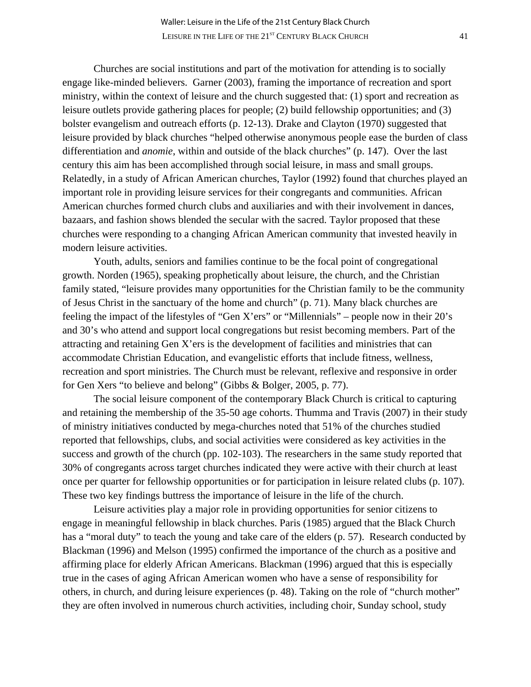Churches are social institutions and part of the motivation for attending is to socially engage like-minded believers. Garner (2003), framing the importance of recreation and sport ministry, within the context of leisure and the church suggested that: (1) sport and recreation as leisure outlets provide gathering places for people; (2) build fellowship opportunities; and (3) bolster evangelism and outreach efforts (p. 12-13). Drake and Clayton (1970) suggested that leisure provided by black churches "helped otherwise anonymous people ease the burden of class differentiation and *anomie*, within and outside of the black churches" (p. 147). Over the last century this aim has been accomplished through social leisure, in mass and small groups. Relatedly, in a study of African American churches, Taylor (1992) found that churches played an important role in providing leisure services for their congregants and communities. African American churches formed church clubs and auxiliaries and with their involvement in dances, bazaars, and fashion shows blended the secular with the sacred. Taylor proposed that these churches were responding to a changing African American community that invested heavily in modern leisure activities.

 Youth, adults, seniors and families continue to be the focal point of congregational growth. Norden (1965), speaking prophetically about leisure, the church, and the Christian family stated, "leisure provides many opportunities for the Christian family to be the community of Jesus Christ in the sanctuary of the home and church" (p. 71). Many black churches are feeling the impact of the lifestyles of "Gen X'ers" or "Millennials" – people now in their 20's and 30's who attend and support local congregations but resist becoming members. Part of the attracting and retaining Gen X'ers is the development of facilities and ministries that can accommodate Christian Education, and evangelistic efforts that include fitness, wellness, recreation and sport ministries. The Church must be relevant, reflexive and responsive in order for Gen Xers "to believe and belong" (Gibbs & Bolger, 2005, p. 77).

 The social leisure component of the contemporary Black Church is critical to capturing and retaining the membership of the 35-50 age cohorts. Thumma and Travis (2007) in their study of ministry initiatives conducted by mega-churches noted that 51% of the churches studied reported that fellowships, clubs, and social activities were considered as key activities in the success and growth of the church (pp. 102-103). The researchers in the same study reported that 30% of congregants across target churches indicated they were active with their church at least once per quarter for fellowship opportunities or for participation in leisure related clubs (p. 107). These two key findings buttress the importance of leisure in the life of the church.

 Leisure activities play a major role in providing opportunities for senior citizens to engage in meaningful fellowship in black churches. Paris (1985) argued that the Black Church has a "moral duty" to teach the young and take care of the elders (p. 57). Research conducted by Blackman (1996) and Melson (1995) confirmed the importance of the church as a positive and affirming place for elderly African Americans. Blackman (1996) argued that this is especially true in the cases of aging African American women who have a sense of responsibility for others, in church, and during leisure experiences (p. 48). Taking on the role of "church mother" they are often involved in numerous church activities, including choir, Sunday school, study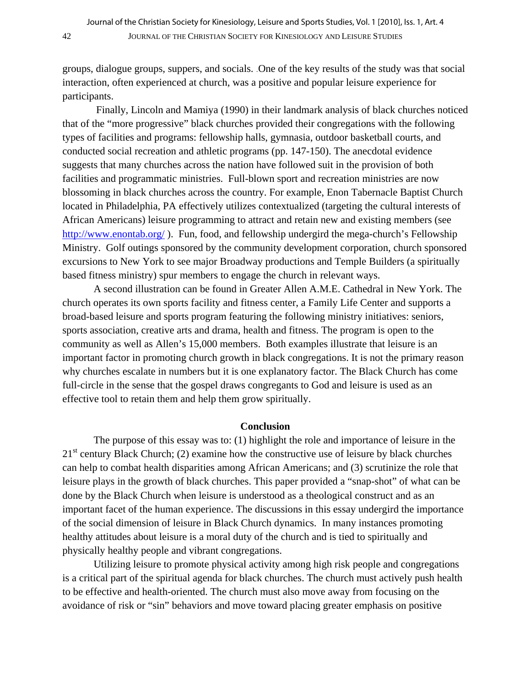groups, dialogue groups, suppers, and socials. .One of the key results of the study was that social interaction, often experienced at church, was a positive and popular leisure experience for participants.

 Finally, Lincoln and Mamiya (1990) in their landmark analysis of black churches noticed that of the "more progressive" black churches provided their congregations with the following types of facilities and programs: fellowship halls, gymnasia, outdoor basketball courts, and conducted social recreation and athletic programs (pp. 147-150). The anecdotal evidence suggests that many churches across the nation have followed suit in the provision of both facilities and programmatic ministries. Full-blown sport and recreation ministries are now blossoming in black churches across the country. For example, Enon Tabernacle Baptist Church located in Philadelphia, PA effectively utilizes contextualized (targeting the cultural interests of African Americans) leisure programming to attract and retain new and existing members (see <http://www.enontab.org/>). Fun, food, and fellowship undergird the mega-church's Fellowship Ministry. Golf outings sponsored by the community development corporation, church sponsored excursions to New York to see major Broadway productions and Temple Builders (a spiritually based fitness ministry) spur members to engage the church in relevant ways.

A second illustration can be found in Greater Allen A.M.E. Cathedral in New York. The church operates its own sports facility and fitness center, a Family Life Center and supports a broad-based leisure and sports program featuring the following ministry initiatives: seniors, sports association, creative arts and drama, health and fitness. The program is open to the community as well as Allen's 15,000 members. Both examples illustrate that leisure is an important factor in promoting church growth in black congregations. It is not the primary reason why churches escalate in numbers but it is one explanatory factor. The Black Church has come full-circle in the sense that the gospel draws congregants to God and leisure is used as an effective tool to retain them and help them grow spiritually.

### **Conclusion**

The purpose of this essay was to: (1) highlight the role and importance of leisure in the  $21<sup>st</sup>$  century Black Church; (2) examine how the constructive use of leisure by black churches can help to combat health disparities among African Americans; and (3) scrutinize the role that leisure plays in the growth of black churches. This paper provided a "snap-shot" of what can be done by the Black Church when leisure is understood as a theological construct and as an important facet of the human experience. The discussions in this essay undergird the importance of the social dimension of leisure in Black Church dynamics. In many instances promoting healthy attitudes about leisure is a moral duty of the church and is tied to spiritually and physically healthy people and vibrant congregations.

Utilizing leisure to promote physical activity among high risk people and congregations is a critical part of the spiritual agenda for black churches. The church must actively push health to be effective and health-oriented. The church must also move away from focusing on the avoidance of risk or "sin" behaviors and move toward placing greater emphasis on positive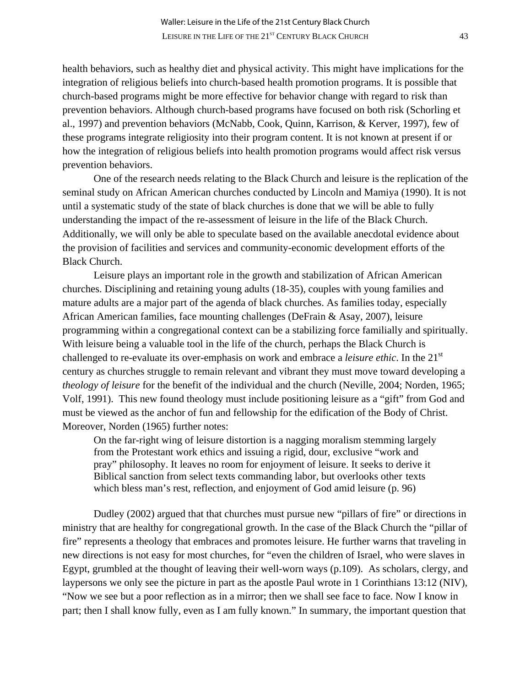health behaviors, such as healthy diet and physical activity. This might have implications for the integration of religious beliefs into church-based health promotion programs. It is possible that church-based programs might be more effective for behavior change with regard to risk than prevention behaviors. Although church-based programs have focused on both risk (Schorling et al., 1997) and prevention behaviors (McNabb, Cook, Quinn, Karrison, & Kerver, 1997), few of these programs integrate religiosity into their program content. It is not known at present if or how the integration of religious beliefs into health promotion programs would affect risk versus prevention behaviors.

 One of the research needs relating to the Black Church and leisure is the replication of the seminal study on African American churches conducted by Lincoln and Mamiya (1990). It is not until a systematic study of the state of black churches is done that we will be able to fully understanding the impact of the re-assessment of leisure in the life of the Black Church. Additionally, we will only be able to speculate based on the available anecdotal evidence about the provision of facilities and services and community-economic development efforts of the Black Church.

 Leisure plays an important role in the growth and stabilization of African American churches. Disciplining and retaining young adults (18-35), couples with young families and mature adults are a major part of the agenda of black churches. As families today, especially African American families, face mounting challenges (DeFrain & Asay, 2007), leisure programming within a congregational context can be a stabilizing force familially and spiritually. With leisure being a valuable tool in the life of the church, perhaps the Black Church is challenged to re-evaluate its over-emphasis on work and embrace a *leisure ethic*. In the 21st century as churches struggle to remain relevant and vibrant they must move toward developing a *theology of leisure* for the benefit of the individual and the church (Neville, 2004; Norden, 1965; Volf, 1991). This new found theology must include positioning leisure as a "gift" from God and must be viewed as the anchor of fun and fellowship for the edification of the Body of Christ. Moreover, Norden (1965) further notes:

 On the far-right wing of leisure distortion is a nagging moralism stemming largely from the Protestant work ethics and issuing a rigid, dour, exclusive "work and pray" philosophy. It leaves no room for enjoyment of leisure. It seeks to derive it Biblical sanction from select texts commanding labor, but overlooks other texts which bless man's rest, reflection, and enjoyment of God amid leisure (p. 96)

 Dudley (2002) argued that that churches must pursue new "pillars of fire" or directions in ministry that are healthy for congregational growth. In the case of the Black Church the "pillar of fire" represents a theology that embraces and promotes leisure. He further warns that traveling in new directions is not easy for most churches, for "even the children of Israel, who were slaves in Egypt, grumbled at the thought of leaving their well-worn ways (p.109). As scholars, clergy, and laypersons we only see the picture in part as the apostle Paul wrote in 1 Corinthians 13:12 (NIV), "Now we see but a poor reflection as in a mirror; then we shall see face to face. Now I know in part; then I shall know fully, even as I am fully known." In summary, the important question that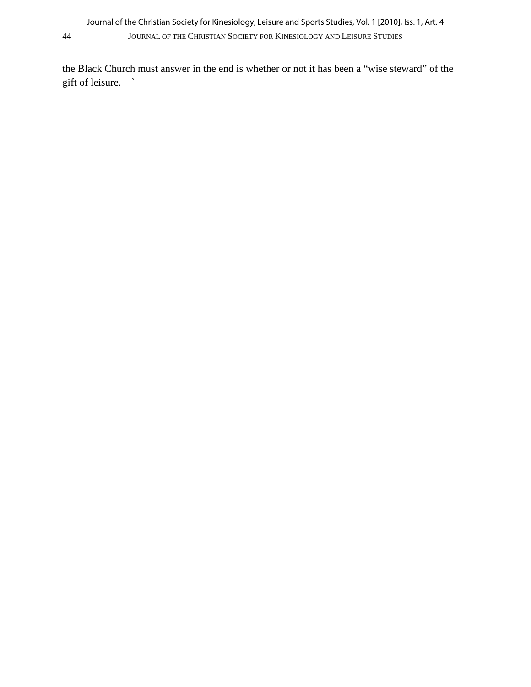the Black Church must answer in the end is whether or not it has been a "wise steward" of the gift of leisure. `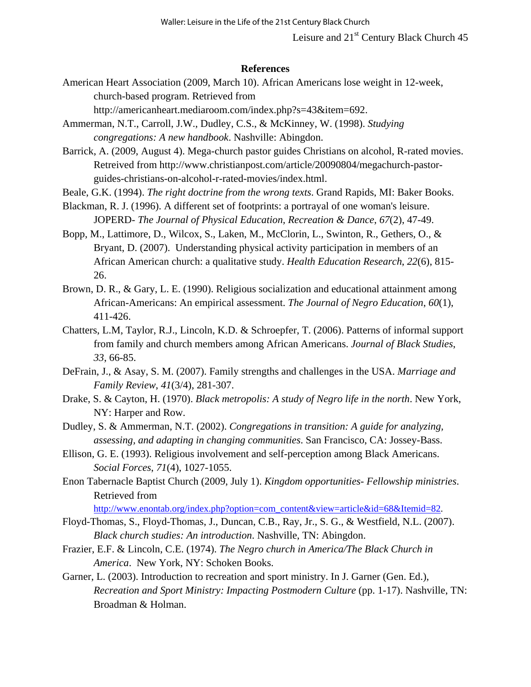Leisure and 21<sup>st</sup> Century Black Church 45

#### **References**

American Heart Association (2009, March 10). African Americans lose weight in 12-week, church-based program. Retrieved from

http://americanheart.mediaroom.com/index.php?s=43&item=692.

Ammerman, N.T., Carroll, J.W., Dudley, C.S., & McKinney, W. (1998). *Studying congregations: A new handbook*. Nashville: Abingdon.

Barrick, A. (2009, August 4). Mega-church pastor guides Christians on alcohol, R-rated movies. Retreived from http://www.christianpost.com/article/20090804/megachurch-pastorguides-christians-on-alcohol-r-rated-movies/index.html.

Beale, G.K. (1994). *The right doctrine from the wrong texts*. Grand Rapids, MI: Baker Books.

Blackman, R. J. (1996). A different set of footprints: a portrayal of one woman's leisure. JOPERD- *The Journal of Physical Education, Recreation & Dance*, *67*(2), 47-49.

[Bopp, M.](http://www.ncbi.nlm.nih.gov/sites/entrez?Db=pubmed&Cmd=Search&Term=%22Bopp%20M%22%5BAuthor%5D&itool=EntrezSystem2.PEntrez.Pubmed.Pubmed_ResultsPanel.Pubmed_DiscoveryPanel.Pubmed_RVAbstractPlus), [Lattimore, D.](http://www.ncbi.nlm.nih.gov/sites/entrez?Db=pubmed&Cmd=Search&Term=%22Lattimore%20D%22%5BAuthor%5D&itool=EntrezSystem2.PEntrez.Pubmed.Pubmed_ResultsPanel.Pubmed_DiscoveryPanel.Pubmed_RVAbstractPlus), [Wilcox, S.](http://www.ncbi.nlm.nih.gov/sites/entrez?Db=pubmed&Cmd=Search&Term=%22Wilcox%20S%22%5BAuthor%5D&itool=EntrezSystem2.PEntrez.Pubmed.Pubmed_ResultsPanel.Pubmed_DiscoveryPanel.Pubmed_RVAbstractPlus), [Laken, M](http://www.ncbi.nlm.nih.gov/sites/entrez?Db=pubmed&Cmd=Search&Term=%22Laken%20M%22%5BAuthor%5D&itool=EntrezSystem2.PEntrez.Pubmed.Pubmed_ResultsPanel.Pubmed_DiscoveryPanel.Pubmed_RVAbstractPlus)., [McClorin, L](http://www.ncbi.nlm.nih.gov/sites/entrez?Db=pubmed&Cmd=Search&Term=%22McClorin%20L%22%5BAuthor%5D&itool=EntrezSystem2.PEntrez.Pubmed.Pubmed_ResultsPanel.Pubmed_DiscoveryPanel.Pubmed_RVAbstractPlus)., [Swinton, R](http://www.ncbi.nlm.nih.gov/sites/entrez?Db=pubmed&Cmd=Search&Term=%22Swinton%20R%22%5BAuthor%5D&itool=EntrezSystem2.PEntrez.Pubmed.Pubmed_ResultsPanel.Pubmed_DiscoveryPanel.Pubmed_RVAbstractPlus)., [Gethers, O](http://www.ncbi.nlm.nih.gov/sites/entrez?Db=pubmed&Cmd=Search&Term=%22Gethers%20O%22%5BAuthor%5D&itool=EntrezSystem2.PEntrez.Pubmed.Pubmed_ResultsPanel.Pubmed_DiscoveryPanel.Pubmed_RVAbstractPlus)., & [Bryant, D](http://www.ncbi.nlm.nih.gov/sites/entrez?Db=pubmed&Cmd=Search&Term=%22Bryant%20D%22%5BAuthor%5D&itool=EntrezSystem2.PEntrez.Pubmed.Pubmed_ResultsPanel.Pubmed_DiscoveryPanel.Pubmed_RVAbstractPlus). (2007). Understanding physical activity participation in members of an African American church: a qualitative study. *Health Education Research*, *22*(6), 815- 26.

- Brown, D. R., & Gary, L. E. (1990). Religious socialization and educational attainment among African-Americans: An empirical assessment. *The Journal of Negro Education*, *60*(1), 411-426.
- Chatters, L.M, Taylor, R.J., Lincoln, K.D. & Schroepfer, T. (2006). Patterns of informal support from family and church members among African Americans. *Journal of Black Studies*, *33*, 66-85.
- DeFrain, J., & Asay, S. M. (2007). Family strengths and challenges in the USA. *Marriage and Family Review*, *41*(3/4), 281-307.
- Drake, S. & Cayton, H. (1970). *Black metropolis: A study of Negro life in the north*. New York, NY: Harper and Row.
- Dudley, S. & Ammerman, N.T. (2002). *Congregations in transition: A guide for analyzing, assessing, and adapting in changing communities*. San Francisco, CA: Jossey-Bass.
- Ellison, G. E. (1993). Religious involvement and self-perception among Black Americans. *Social Forces*, *71*(4), 1027-1055.
- Enon Tabernacle Baptist Church (2009, July 1). *Kingdom opportunities- Fellowship ministries*. Retrieved from

[http://www.enontab.org/index.php?option=com\\_content&view=article&id=68&Itemid=82](http://www.enontab.org/index.php?option=com_content&view=article&id=68&Itemid=82).

- Floyd-Thomas, S., Floyd-Thomas, J., Duncan, C.B., Ray, Jr., S. G., & Westfield, N.L. (2007). *Black church studies: An introduction*. Nashville, TN: Abingdon.
- Frazier, E.F. & Lincoln, C.E. (1974). *The Negro church in America/The Black Church in America*. New York, NY: Schoken Books.
- Garner, L. (2003). Introduction to recreation and sport ministry. In J. Garner (Gen. Ed.), *Recreation and Sport Ministry: Impacting Postmodern Culture* (pp. 1-17). Nashville, TN: Broadman & Holman.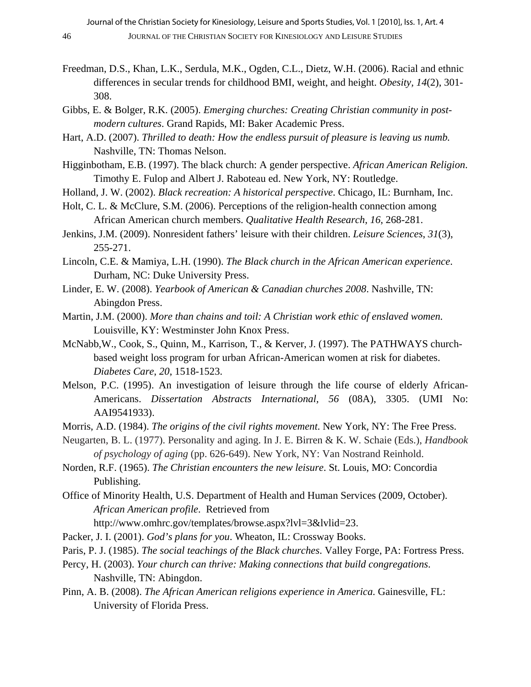- Freedman, D.S., Khan, L.K., Serdula, M.K., Ogden, C.L., Dietz, W.H. (2006). Racial and ethnic differences in secular trends for childhood BMI, weight, and height. *Obesity, 14*(2), 301- 308.
- Gibbs, E. & Bolger, R.K. (2005). *Emerging churches: Creating Christian community in post modern cultures*. Grand Rapids, MI: Baker Academic Press.
- Hart, A.D. (2007). *Thrilled to death: How the endless pursuit of pleasure is leaving us numb.* Nashville, TN: Thomas Nelson.
- Higginbotham, E.B. (1997). The black church: A gender perspective. *African American Religion*. Timothy E. Fulop and Albert J. Raboteau ed. New York, NY: Routledge.
- Holland, J. W. (2002). *Black recreation: A historical perspective*. Chicago, IL: Burnham, Inc.
- Holt, C. L. & McClure, S.M. (2006). Perceptions of the religion-health connection among African American church members. *Qualitative Health Research*, *16*, 268-281.
- Jenkins, J.M. (2009). Nonresident fathers' leisure with their children. *Leisure Sciences*, *31*(3), 255-271.
- Lincoln, C.E. & Mamiya, L.H. (1990). *The Black church in the African American experience*. Durham, NC: Duke University Press.
- Linder, E. W. (2008). *Yearbook of American & Canadian churches 2008*. Nashville, TN: Abingdon Press.
- Martin, J.M. (2000). *More than chains and toil: A Christian work ethic of enslaved women.* Louisville, KY: Westminster John Knox Press.
- McNabb,W., Cook, S., Quinn, M., Karrison, T., & Kerver, J. (1997). The PATHWAYS churchbased weight loss program for urban African-American women at risk for diabetes. *Diabetes Care*, *20*, 1518-1523.
- Melson, P.C. (1995). An investigation of leisure through the life course of elderly African-Americans. *Dissertation Abstracts International, 56* (08A), 3305. (UMI No: AAI9541933).
- Morris, A.D. (1984). *The origins of the civil rights movement*. New York, NY: The Free Press.
- Neugarten, B. L. (1977). Personality and aging. In J. E. Birren & K. W. Schaie (Eds.), *Handbook of psychology of aging* (pp. 626-649). New York, NY: Van Nostrand Reinhold.
- Norden, R.F. (1965). *The Christian encounters the new leisure*. St. Louis, MO: Concordia Publishing.
- Office of Minority Health, U.S. Department of Health and Human Services (2009, October). *African American profile*. Retrieved from
	- http://www.omhrc.gov/templates/browse.aspx?lvl=3&lvlid=23.
- Packer, J. I. (2001). *God's plans for you*. Wheaton, IL: Crossway Books.
- Paris, P. J. (1985). *The social teachings of the Black churches*. Valley Forge, PA: Fortress Press.
- Percy, H. (2003). *Your church can thrive: Making connections that build congregations*. Nashville, TN: Abingdon.
- Pinn, A. B. (2008). *The African American religions experience in America*. Gainesville, FL: University of Florida Press.